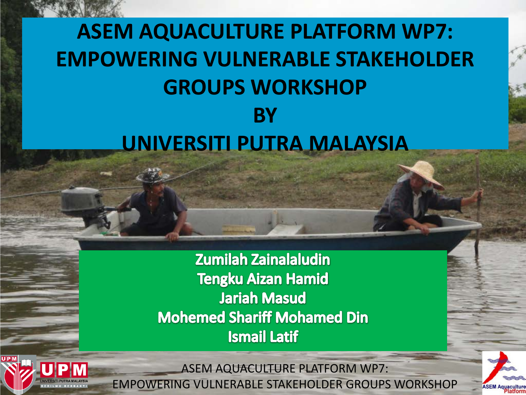#### **ASEM AQUACULTURE PLATFORM WP7: EMPOWERING VULNERABLE STAKEHOLDER GROUPS WORKSHOP BY UNIVERSITI PUTRA MALAYSIA**

**Zumilah Zainalaludin Tengku Aizan Hamid Jariah Masud Mohemed Shariff Mohamed Din Ismail Latif** 



ASEM AQUACULTURE PLATFORM WP7: EMPOWERING VULNERABLE STAKEHOLDER GROUPS WORKSHOP

**ASEM Aqua**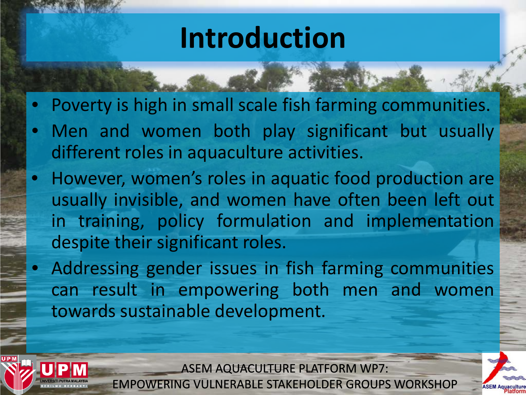### **Introduction**

- Poverty is high in small scale fish farming communities.
- Men and women both play significant but usually different roles in aquaculture activities.
- However, women's roles in aquatic food production are usually invisible, and women have often been left out in training, policy formulation and implementation despite their significant roles.
	- Addressing gender issues in fish farming communities can result in empowering both men and women towards sustainable development.



ASEM AQUACULTURE PLATFORM WP7: EMPOWERING VULNERABLE STAKEHOLDER GROUPS WORKSHOP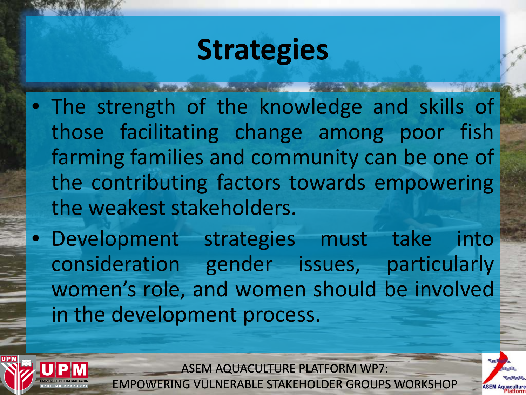# **Strategies**

- The strength of the knowledge and skills of those facilitating change among poor fish farming families and community can be one of the contributing factors towards empowering the weakest stakeholders.
- Development strategies must take into consideration gender issues, particularly women's role, and women should be involved in the development process.



ASEM AQUACULTURE PLATFORM WP7:

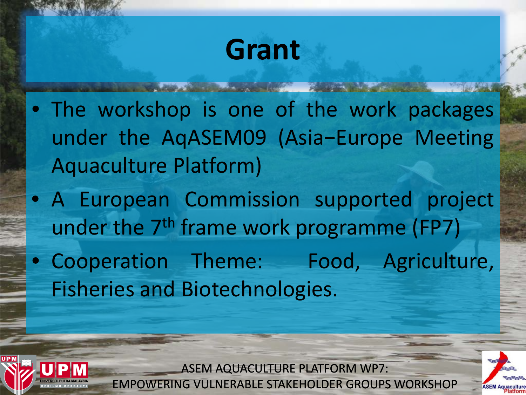## **Grant**

- The workshop is one of the work packages under the AqASEM09 (Asia−Europe Meeting Aquaculture Platform)
- A European Commission supported project under the 7<sup>th</sup> frame work programme (FP7)
- Cooperation Theme: Food, Agriculture, Fisheries and Biotechnologies.



ASEM AQUACULTURE PLATFORM WP7: EMPOWERING VULNERABLE STAKEHOLDER GROUPS WORKSHOP

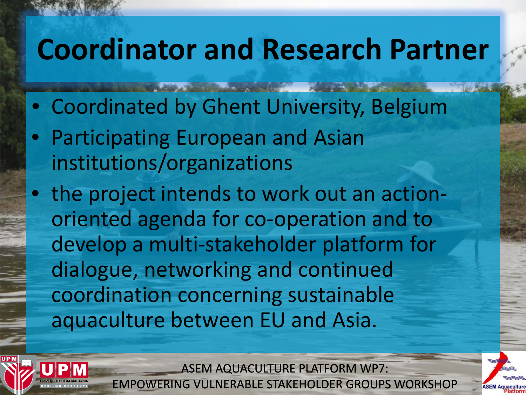### **Coordinator and Research Partner**

- Coordinated by Ghent University, Belgium
- Participating European and Asian institutions/organizations
- the project intends to work out an actionoriented agenda for co-operation and to develop a multi-stakeholder platform for dialogue, networking and continued coordination concerning sustainable aquaculture between EU and Asia.



ASEM AQUACULTURE PLATFORM WP7: **ERING VULNERABLE STAKEHOLDER GROUPS WORKSHOP** 

**ASEM**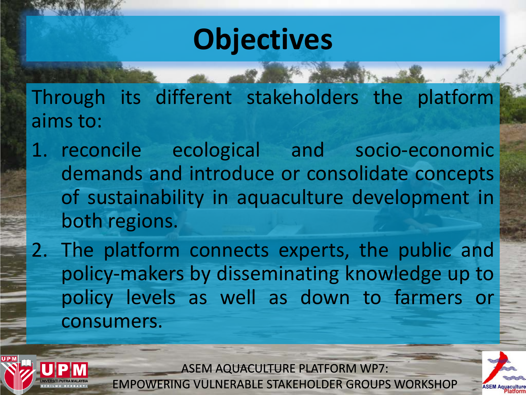# **Objectives**

Through its different stakeholders the platform aims to:

- 1. reconcile ecological and socio-economic demands and introduce or consolidate concepts of sustainability in aquaculture development in both regions.
- 2. The platform connects experts, the public and policy-makers by disseminating knowledge up to policy levels as well as down to farmers or consumers.



ASEM AQUACULTURE PLATFORM WP7: EMPOWERING VULNERABLE STAKEHOLDER GROUPS WORKSHOP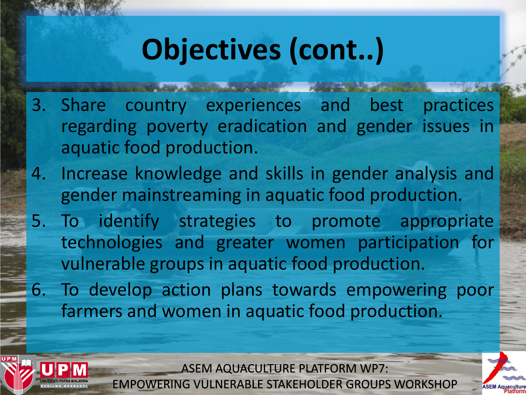# **Objectives (cont..)**

- 3. Share country experiences and best practices regarding poverty eradication and gender issues in aquatic food production.
- 4. Increase knowledge and skills in gender analysis and gender mainstreaming in aquatic food production.
- 5. To identify strategies to promote appropriate technologies and greater women participation for vulnerable groups in aquatic food production.
- 6. To develop action plans towards empowering poor farmers and women in aquatic food production.



ASEM AQUACULTURE PLATFORM WP7: EMPOWERING VULNERABLE STAKEHOLDER GROUPS WORKSHOP

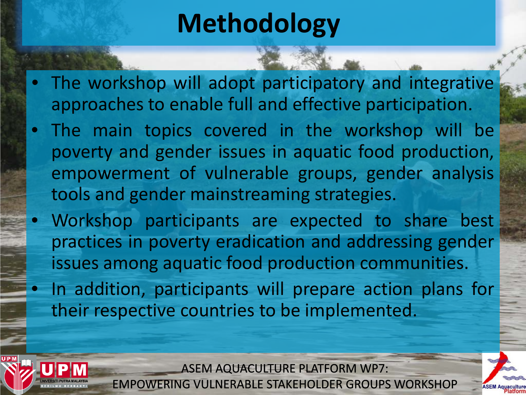### **Methodology**

- The workshop will adopt participatory and integrative approaches to enable full and effective participation.
- The main topics covered in the workshop will be poverty and gender issues in aquatic food production, empowerment of vulnerable groups, gender analysis tools and gender mainstreaming strategies.
	- Workshop participants are expected to share best practices in poverty eradication and addressing gender issues among aquatic food production communities.
	- In addition, participants will prepare action plans for their respective countries to be implemented.



ASEM AQUACULTURE PLATFORM WP7: EMPOWERING VULNERABLE STAKEHOLDER GROUPS WORKSHOP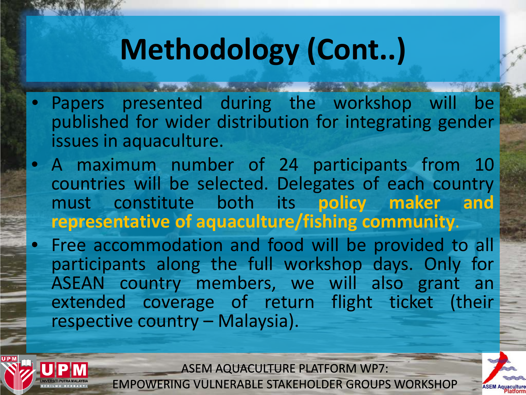# **Methodology (Cont..)**

- Papers presented during the workshop will be published for wider distribution for integrating gender issues in aquaculture.
- A maximum number of 24 participants from 10 countries will be selected. Delegates of each country must constitute both its **policy maker and representative of aquaculture/fishing community**.
- Free accommodation and food will be provided to all participants along the full workshop days. Only for ASEAN country members, we will also grant an extended coverage of return flight ticket (their respective country – Malaysia).



ASEM AQUACULTURE PLATFORM WP7:



**ASEM Aqua**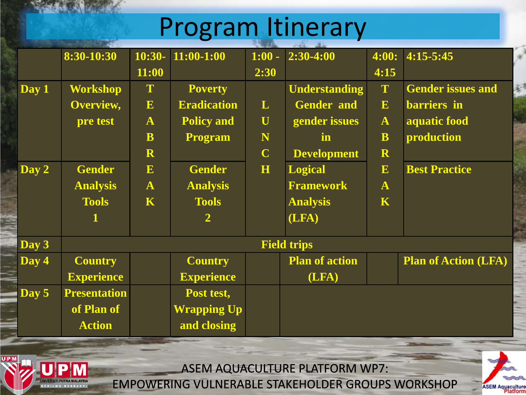### Program Itinerary

|       | 8:30-10:30          | $10:30-$     | $11:00-1:00$       | $1:00 -$    | $2:30-4:00$           | 4:00:        | 4:15-5:45                   |
|-------|---------------------|--------------|--------------------|-------------|-----------------------|--------------|-----------------------------|
|       |                     | 11:00        |                    | 2:30        |                       | 4:15         |                             |
| Day 1 | <b>Workshop</b>     | T            | <b>Poverty</b>     |             | <b>Understanding</b>  | T            | <b>Gender issues and</b>    |
|       | Overview,           | E            | <b>Eradication</b> | L           | <b>Gender and</b>     | E            | barriers in                 |
|       | pre test            | $\mathbf{A}$ | <b>Policy and</b>  | $\bf U$     | gender issues         | $\mathbf{A}$ | aquatic food                |
|       |                     | B            | <b>Program</b>     | N           | in.                   | $\mathbf{B}$ | production                  |
|       |                     | R            |                    | $\mathbf C$ | <b>Development</b>    | R            |                             |
| Day 2 | <b>Gender</b>       | $\mathbf{E}$ | <b>Gender</b>      | H           | <b>Logical</b>        | E            | <b>Best Practice</b>        |
|       | <b>Analysis</b>     | $\mathbf{A}$ | <b>Analysis</b>    |             | <b>Framework</b>      | $\mathbf{A}$ |                             |
|       | <b>Tools</b>        | K            | <b>Tools</b>       |             | <b>Analysis</b>       | K            |                             |
|       | 1                   |              | $\overline{2}$     |             | (LFA)                 |              |                             |
| Day 3 | <b>Field trips</b>  |              |                    |             |                       |              |                             |
| Day 4 | <b>Country</b>      |              | <b>Country</b>     |             | <b>Plan of action</b> |              | <b>Plan of Action (LFA)</b> |
|       | <b>Experience</b>   |              | <b>Experience</b>  |             | (LFA)                 |              |                             |
| Day 5 | <b>Presentation</b> |              | Post test,         |             |                       |              |                             |
|       | of Plan of          |              | <b>Wrapping Up</b> |             |                       |              |                             |
|       | <b>Action</b>       |              | and closing        |             |                       |              |                             |



ASEM AQUACULTURE PLATFORM WP7:

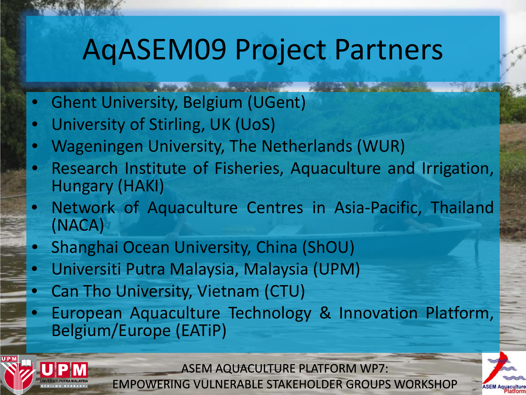# AqASEM09 Project Partners

- Ghent University, Belgium (UGent)
- University of Stirling, UK (UoS)
- Wageningen University, The Netherlands (WUR)
- Research Institute of Fisheries, Aquaculture and Irrigation, Hungary (HAKI)
- Network of Aquaculture Centres in Asia-Pacific, Thailand (NACA)
- Shanghai Ocean University, China (ShOU)
- Universiti Putra Malaysia, Malaysia (UPM)
- Can Tho University, Vietnam (CTU)
- European Aquaculture Technology & Innovation Platform, Belgium/Europe (EATiP)



ASEM AQUACULTURE PLATFORM WP7: EMPOWERING VULNERABLE STAKEHOLDER GROUPS WORKSHOP

**ASEM Aqua**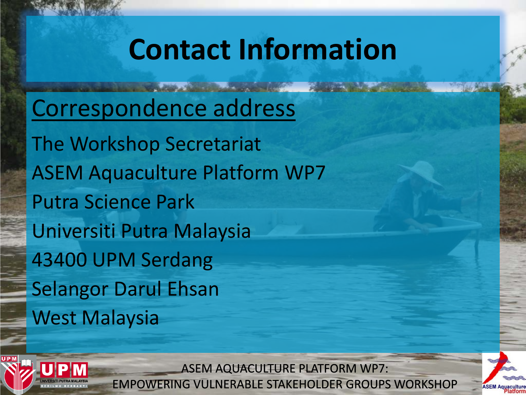# **Contact Information**

Correspondence address

The Workshop Secretariat ASEM Aquaculture Platform WP7 Putra Science Park Universiti Putra Malaysia 43400 UPM Serdang Selangor Darul Ehsan West Malaysia



ASEM AQUACULTURE PLATFORM WP7: EMPOWERING VULNERABLE STAKEHOLDER GROUPS WORKSHOP

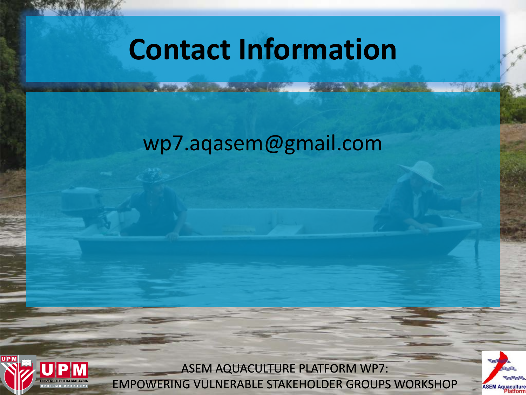## **Contact Information**

#### wp7.aqasem@gmail.com



ASEM AQUACULTURE PLATFORM WP7: EMPOWERING VULNERABLE STAKEHOLDER GROUPS WORKSHOP

**ASEM Aquacultu**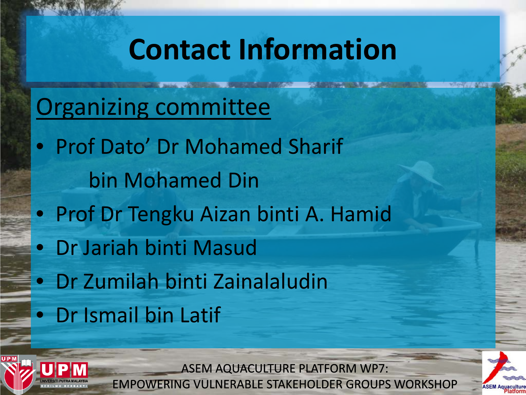# **Contact Information**

### Organizing committee

- Prof Dato' Dr Mohamed Sharif bin Mohamed Din
- Prof Dr Tengku Aizan binti A. Hamid
- Dr Jariah binti Masud
- Dr Zumilah binti Zainalaludin
- Dr Ismail bin Latif



ASEM AQUACULTURE PLATFORM WP7: EMPOWERING VULNERABLE STAKEHOLDER GROUPS WORKSHOP